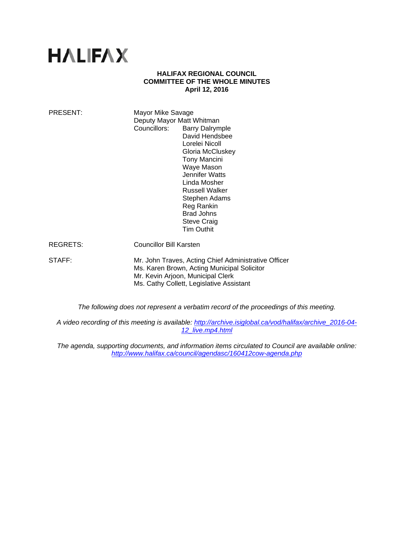# **HALIFAX**

#### **HALIFAX REGIONAL COUNCIL COMMITTEE OF THE WHOLE MINUTES April 12, 2016**

| PRESENT: | Mayor Mike Savage<br>Deputy Mayor Matt Whitman<br>Councillors:<br><b>Barry Dalrymple</b><br>David Hendsbee<br>Lorelei Nicoll<br>Gloria McCluskey<br><b>Tony Mancini</b><br>Waye Mason<br>Jennifer Watts<br>Linda Mosher<br>Russell Walker<br>Stephen Adams<br>Reg Rankin<br><b>Brad Johns</b><br><b>Steve Craig</b><br><b>Tim Outhit</b> |
|----------|------------------------------------------------------------------------------------------------------------------------------------------------------------------------------------------------------------------------------------------------------------------------------------------------------------------------------------------|
| REGRETS: | <b>Councillor Bill Karsten</b>                                                                                                                                                                                                                                                                                                           |
| STAFF:   | Mr. John Traves, Acting Chief Administrative Officer<br>Ms. Karen Brown, Acting Municipal Solicitor<br>Mr. Kevin Arjoon, Municipal Clerk<br>Ms. Cathy Collett, Legislative Assistant                                                                                                                                                     |

*The following does not represent a verbatim record of the proceedings of this meeting.* 

*A video recording of this meeting is available: http://archive.isiglobal.ca/vod/halifax/archive\_2016-04- 12\_live.mp4.html* 

*The agenda, supporting documents, and information items circulated to Council are available online: http://www.halifax.ca/council/agendasc/160412cow-agenda.php*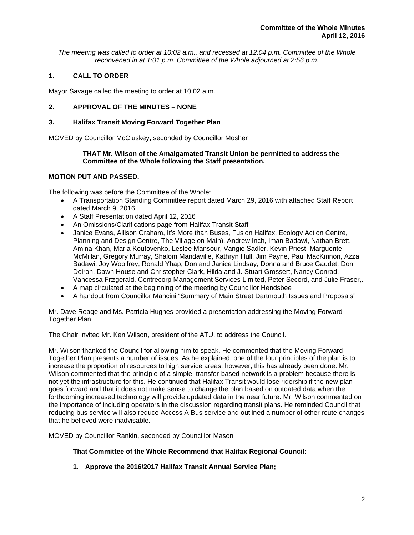*The meeting was called to order at 10:02 a.m., and recessed at 12:04 p.m. Committee of the Whole reconvened in at 1:01 p.m. Committee of the Whole adjourned at 2:56 p.m.*

# **1. CALL TO ORDER**

Mayor Savage called the meeting to order at 10:02 a.m.

# **2. APPROVAL OF THE MINUTES – NONE**

# **3. Halifax Transit Moving Forward Together Plan**

MOVED by Councillor McCluskey, seconded by Councillor Mosher

## **THAT Mr. Wilson of the Amalgamated Transit Union be permitted to address the Committee of the Whole following the Staff presentation.**

# **MOTION PUT AND PASSED.**

The following was before the Committee of the Whole:

- A Transportation Standing Committee report dated March 29, 2016 with attached Staff Report dated March 9, 2016
- A Staff Presentation dated April 12, 2016
- An Omissions/Clarifications page from Halifax Transit Staff
- Janice Evans, Allison Graham, It's More than Buses, Fusion Halifax, Ecology Action Centre, Planning and Design Centre, The Village on Main), Andrew Inch, Iman Badawi, Nathan Brett, Amina Khan, Maria Koutovenko, Leslee Mansour, Vangie Sadler, Kevin Priest, Marguerite McMillan, Gregory Murray, Shalom Mandaville, Kathryn Hull, Jim Payne, Paul MacKinnon, Azza Badawi, Joy Woolfrey, Ronald Yhap, Don and Janice Lindsay, Donna and Bruce Gaudet, Don Doiron, Dawn House and Christopher Clark, Hilda and J. Stuart Grossert, Nancy Conrad, Vancessa Fitzgerald, Centrecorp Management Services Limited, Peter Secord, and Julie Fraser,.
- A map circulated at the beginning of the meeting by Councillor Hendsbee
- A handout from Councillor Mancini "Summary of Main Street Dartmouth Issues and Proposals"

Mr. Dave Reage and Ms. Patricia Hughes provided a presentation addressing the Moving Forward Together Plan.

The Chair invited Mr. Ken Wilson, president of the ATU, to address the Council.

Mr. Wilson thanked the Council for allowing him to speak. He commented that the Moving Forward Together Plan presents a number of issues. As he explained, one of the four principles of the plan is to increase the proportion of resources to high service areas; however, this has already been done. Mr. Wilson commented that the principle of a simple, transfer-based network is a problem because there is not yet the infrastructure for this. He continued that Halifax Transit would lose ridership if the new plan goes forward and that it does not make sense to change the plan based on outdated data when the forthcoming increased technology will provide updated data in the near future. Mr. Wilson commented on the importance of including operators in the discussion regarding transit plans. He reminded Council that reducing bus service will also reduce Access A Bus service and outlined a number of other route changes that he believed were inadvisable.

MOVED by Councillor Rankin, seconded by Councillor Mason

**That Committee of the Whole Recommend that Halifax Regional Council:** 

**1. Approve the 2016/2017 Halifax Transit Annual Service Plan;**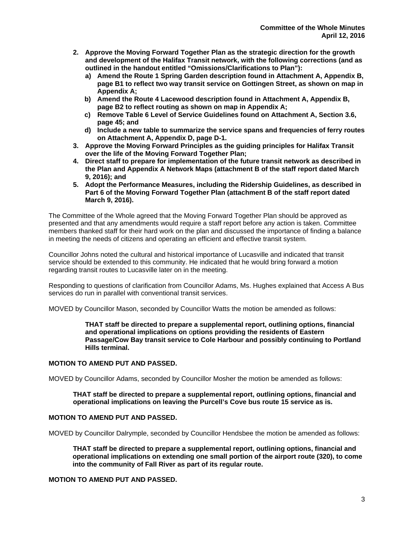- **2. Approve the Moving Forward Together Plan as the strategic direction for the growth and development of the Halifax Transit network, with the following corrections (and as outlined in the handout entitled "Omissions/Clarifications to Plan"):** 
	- **a) Amend the Route 1 Spring Garden description found in Attachment A, Appendix B, page B1 to reflect two way transit service on Gottingen Street, as shown on map in Appendix A;**
	- **b) Amend the Route 4 Lacewood description found in Attachment A, Appendix B, page B2 to reflect routing as shown on map in Appendix A;**
	- **c) Remove Table 6 Level of Service Guidelines found on Attachment A, Section 3.6, page 45; and**
	- **d) Include a new table to summarize the service spans and frequencies of ferry routes on Attachment A, Appendix D, page D-1.**
- **3. Approve the Moving Forward Principles as the guiding principles for Halifax Transit over the life of the Moving Forward Together Plan;**
- **4. Direct staff to prepare for implementation of the future transit network as described in the Plan and Appendix A Network Maps (attachment B of the staff report dated March 9, 2016); and**
- **5. Adopt the Performance Measures, including the Ridership Guidelines, as described in Part 6 of the Moving Forward Together Plan (attachment B of the staff report dated March 9, 2016).**

The Committee of the Whole agreed that the Moving Forward Together Plan should be approved as presented and that any amendments would require a staff report before any action is taken. Committee members thanked staff for their hard work on the plan and discussed the importance of finding a balance in meeting the needs of citizens and operating an efficient and effective transit system.

Councillor Johns noted the cultural and historical importance of Lucasville and indicated that transit service should be extended to this community. He indicated that he would bring forward a motion regarding transit routes to Lucasville later on in the meeting.

Responding to questions of clarification from Councillor Adams, Ms. Hughes explained that Access A Bus services do run in parallel with conventional transit services.

MOVED by Councillor Mason, seconded by Councillor Watts the motion be amended as follows:

**THAT staff be directed to prepare a supplemental report, outlining options, financial and operational implications on** o**ptions providing the residents of Eastern Passage/Cow Bay transit service to Cole Harbour and possibly continuing to Portland Hills terminal.** 

#### **MOTION TO AMEND PUT AND PASSED.**

MOVED by Councillor Adams, seconded by Councillor Mosher the motion be amended as follows:

#### **THAT staff be directed to prepare a supplemental report, outlining options, financial and operational implications on leaving the Purcell's Cove bus route 15 service as is.**

## **MOTION TO AMEND PUT AND PASSED.**

MOVED by Councillor Dalrymple, seconded by Councillor Hendsbee the motion be amended as follows:

**THAT staff be directed to prepare a supplemental report, outlining options, financial and operational implications on extending one small portion of the airport route (320), to come into the community of Fall River as part of its regular route.** 

# **MOTION TO AMEND PUT AND PASSED.**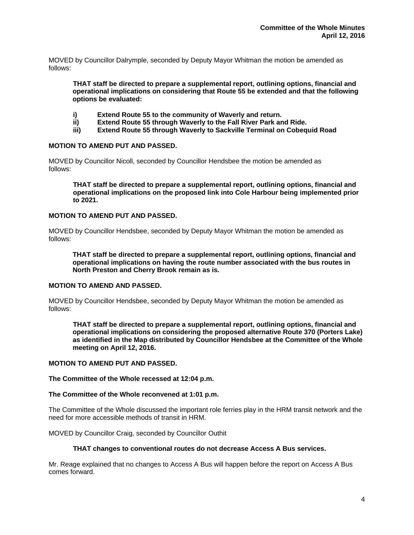MOVED by Councillor Dalrymple, seconded by Deputy Mayor Whitman the motion be amended as follows:

**THAT staff be directed to prepare a supplemental report, outlining options, financial and operational implications on considering that Route 55 be extended and that the following options be evaluated:** 

- **i) Extend Route 55 to the community of Waverly and return.**
- **ii) Extend Route 55 through Waverly to the Fall River Park and Ride.**
- **iii) Extend Route 55 through Waverly to Sackville Terminal on Cobequid Road**

#### **MOTION TO AMEND PUT AND PASSED.**

MOVED by Councillor Nicoll, seconded by Councillor Hendsbee the motion be amended as follows:

**THAT staff be directed to prepare a supplemental report, outlining options, financial and operational implications on the proposed link into Cole Harbour being implemented prior to 2021.** 

#### **MOTION TO AMEND PUT AND PASSED.**

MOVED by Councillor Hendsbee, seconded by Deputy Mayor Whitman the motion be amended as follows:

**THAT staff be directed to prepare a supplemental report, outlining options, financial and operational implications on having the route number associated with the bus routes in North Preston and Cherry Brook remain as is.** 

#### **MOTION TO AMEND AND PASSED.**

MOVED by Councillor Hendsbee, seconded by Deputy Mayor Whitman the motion be amended as follows:

**THAT staff be directed to prepare a supplemental report, outlining options, financial and operational implications on considering the proposed alternative Route 370 (Porters Lake) as identified in the Map distributed by Councillor Hendsbee at the Committee of the Whole meeting on April 12, 2016.** 

#### **MOTION TO AMEND PUT AND PASSED.**

**The Committee of the Whole recessed at 12:04 p.m.** 

#### **The Committee of the Whole reconvened at 1:01 p.m.**

The Committee of the Whole discussed the important role ferries play in the HRM transit network and the need for more accessible methods of transit in HRM.

MOVED by Councillor Craig, seconded by Councillor Outhit

#### **THAT changes to conventional routes do not decrease Access A Bus services.**

Mr. Reage explained that no changes to Access A Bus will happen before the report on Access A Bus comes forward.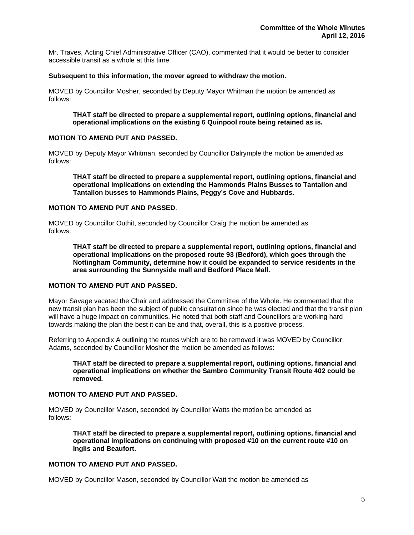Mr. Traves, Acting Chief Administrative Officer (CAO), commented that it would be better to consider accessible transit as a whole at this time.

#### **Subsequent to this information, the mover agreed to withdraw the motion.**

MOVED by Councillor Mosher, seconded by Deputy Mayor Whitman the motion be amended as follows:

**THAT staff be directed to prepare a supplemental report, outlining options, financial and operational implications on the existing 6 Quinpool route being retained as is.** 

## **MOTION TO AMEND PUT AND PASSED.**

MOVED by Deputy Mayor Whitman, seconded by Councillor Dalrymple the motion be amended as follows:

**THAT staff be directed to prepare a supplemental report, outlining options, financial and operational implications on extending the Hammonds Plains Busses to Tantallon and Tantallon busses to Hammonds Plains, Peggy's Cove and Hubbards.** 

#### **MOTION TO AMEND PUT AND PASSED**.

MOVED by Councillor Outhit, seconded by Councillor Craig the motion be amended as follows:

**THAT staff be directed to prepare a supplemental report, outlining options, financial and operational implications on the proposed route 93 (Bedford), which goes through the Nottingham Community, determine how it could be expanded to service residents in the area surrounding the Sunnyside mall and Bedford Place Mall.** 

#### **MOTION TO AMEND PUT AND PASSED.**

Mayor Savage vacated the Chair and addressed the Committee of the Whole. He commented that the new transit plan has been the subject of public consultation since he was elected and that the transit plan will have a huge impact on communities. He noted that both staff and Councillors are working hard towards making the plan the best it can be and that, overall, this is a positive process.

Referring to Appendix A outlining the routes which are to be removed it was MOVED by Councillor Adams, seconded by Councillor Mosher the motion be amended as follows:

 **THAT staff be directed to prepare a supplemental report, outlining options, financial and operational implications on whether the Sambro Community Transit Route 402 could be removed.** 

#### **MOTION TO AMEND PUT AND PASSED.**

MOVED by Councillor Mason, seconded by Councillor Watts the motion be amended as follows:

**THAT staff be directed to prepare a supplemental report, outlining options, financial and operational implications on continuing with proposed #10 on the current route #10 on Inglis and Beaufort.** 

# **MOTION TO AMEND PUT AND PASSED.**

MOVED by Councillor Mason, seconded by Councillor Watt the motion be amended as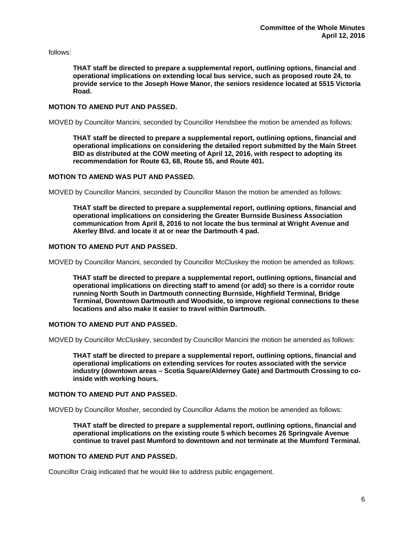follows:

**THAT staff be directed to prepare a supplemental report, outlining options, financial and operational implications on extending local bus service, such as proposed route 24, to provide service to the Joseph Howe Manor, the seniors residence located at 5515 Victoria Road.** 

## **MOTION TO AMEND PUT AND PASSED.**

MOVED by Councillor Mancini, seconded by Councillor Hendsbee the motion be amended as follows:

 **THAT staff be directed to prepare a supplemental report, outlining options, financial and operational implications on considering the detailed report submitted by the Main Street BID as distributed at the COW meeting of April 12, 2016, with respect to adopting its recommendation for Route 63, 68, Route 55, and Route 401.** 

#### **MOTION TO AMEND WAS PUT AND PASSED.**

MOVED by Councillor Mancini, seconded by Councillor Mason the motion be amended as follows:

**THAT staff be directed to prepare a supplemental report, outlining options, financial and operational implications on considering the Greater Burnside Business Association communication from April 8, 2016 to not locate the bus terminal at Wright Avenue and Akerley Blvd. and locate it at or near the Dartmouth 4 pad.** 

# **MOTION TO AMEND PUT AND PASSED.**

MOVED by Councillor Mancini, seconded by Councillor McCluskey the motion be amended as follows:

 **THAT staff be directed to prepare a supplemental report, outlining options, financial and operational implications on directing staff to amend (or add) so there is a corridor route running North South in Dartmouth connecting Burnside, Highfield Terminal, Bridge Terminal, Downtown Dartmouth and Woodside, to improve regional connections to these locations and also make it easier to travel within Dartmouth.** 

## **MOTION TO AMEND PUT AND PASSED.**

MOVED by Councillor McCluskey, seconded by Councillor Mancini the motion be amended as follows:

**THAT staff be directed to prepare a supplemental report, outlining options, financial and operational implications on extending services for routes associated with the service industry (downtown areas – Scotia Square/Alderney Gate) and Dartmouth Crossing to coinside with working hours.** 

#### **MOTION TO AMEND PUT AND PASSED.**

MOVED by Councillor Mosher, seconded by Councillor Adams the motion be amended as follows:

**THAT staff be directed to prepare a supplemental report, outlining options, financial and operational implications on the existing route 5 which becomes 26 Springvale Avenue continue to travel past Mumford to downtown and not terminate at the Mumford Terminal.** 

# **MOTION TO AMEND PUT AND PASSED.**

Councillor Craig indicated that he would like to address public engagement.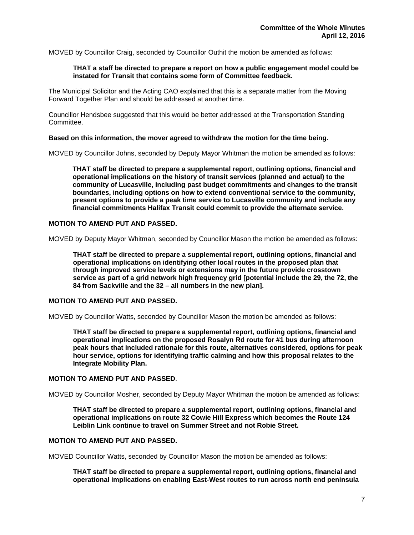MOVED by Councillor Craig, seconded by Councillor Outhit the motion be amended as follows:

#### **THAT a staff be directed to prepare a report on how a public engagement model could be instated for Transit that contains some form of Committee feedback.**

The Municipal Solicitor and the Acting CAO explained that this is a separate matter from the Moving Forward Together Plan and should be addressed at another time.

Councillor Hendsbee suggested that this would be better addressed at the Transportation Standing Committee.

#### **Based on this information, the mover agreed to withdraw the motion for the time being.**

MOVED by Councillor Johns, seconded by Deputy Mayor Whitman the motion be amended as follows:

**THAT staff be directed to prepare a supplemental report, outlining options, financial and operational implications on the history of transit services (planned and actual) to the community of Lucasville, including past budget commitments and changes to the transit boundaries, including options on how to extend conventional service to the community, present options to provide a peak time service to Lucasville community and include any financial commitments Halifax Transit could commit to provide the alternate service.**

## **MOTION TO AMEND PUT AND PASSED.**

MOVED by Deputy Mayor Whitman, seconded by Councillor Mason the motion be amended as follows:

**THAT staff be directed to prepare a supplemental report, outlining options, financial and operational implications on identifying other local routes in the proposed plan that through improved service levels or extensions may in the future provide crosstown service as part of a grid network high frequency grid [potential include the 29, the 72, the 84 from Sackville and the 32 – all numbers in the new plan].** 

## **MOTION TO AMEND PUT AND PASSED.**

MOVED by Councillor Watts, seconded by Councillor Mason the motion be amended as follows:

**THAT staff be directed to prepare a supplemental report, outlining options, financial and operational implications on the proposed Rosalyn Rd route for #1 bus during afternoon peak hours that included rationale for this route, alternatives considered, options for peak hour service, options for identifying traffic calming and how this proposal relates to the Integrate Mobility Plan.** 

#### **MOTION TO AMEND PUT AND PASSED**.

MOVED by Councillor Mosher, seconded by Deputy Mayor Whitman the motion be amended as follows:

**THAT staff be directed to prepare a supplemental report, outlining options, financial and operational implications on route 32 Cowie Hill Express which becomes the Route 124 Leiblin Link continue to travel on Summer Street and not Robie Street.** 

#### **MOTION TO AMEND PUT AND PASSED.**

MOVED Councillor Watts, seconded by Councillor Mason the motion be amended as follows:

**THAT staff be directed to prepare a supplemental report, outlining options, financial and operational implications on enabling East-West routes to run across north end peninsula**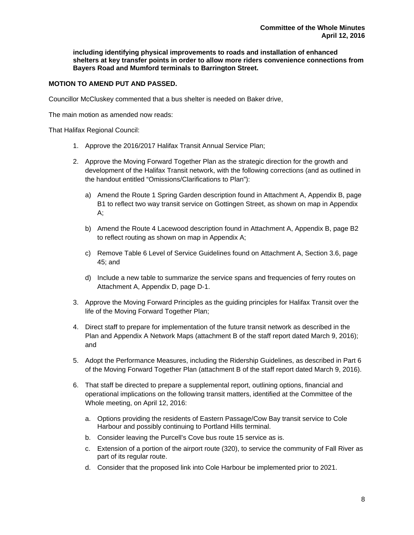**including identifying physical improvements to roads and installation of enhanced shelters at key transfer points in order to allow more riders convenience connections from Bayers Road and Mumford terminals to Barrington Street.** 

## **MOTION TO AMEND PUT AND PASSED.**

Councillor McCluskey commented that a bus shelter is needed on Baker drive,

The main motion as amended now reads:

That Halifax Regional Council:

- 1. Approve the 2016/2017 Halifax Transit Annual Service Plan;
- 2. Approve the Moving Forward Together Plan as the strategic direction for the growth and development of the Halifax Transit network, with the following corrections (and as outlined in the handout entitled "Omissions/Clarifications to Plan"):
	- a) Amend the Route 1 Spring Garden description found in Attachment A, Appendix B, page B1 to reflect two way transit service on Gottingen Street, as shown on map in Appendix A;
	- b) Amend the Route 4 Lacewood description found in Attachment A, Appendix B, page B2 to reflect routing as shown on map in Appendix A;
	- c) Remove Table 6 Level of Service Guidelines found on Attachment A, Section 3.6, page 45; and
	- d) Include a new table to summarize the service spans and frequencies of ferry routes on Attachment A, Appendix D, page D-1.
- 3. Approve the Moving Forward Principles as the guiding principles for Halifax Transit over the life of the Moving Forward Together Plan;
- 4. Direct staff to prepare for implementation of the future transit network as described in the Plan and Appendix A Network Maps (attachment B of the staff report dated March 9, 2016); and
- 5. Adopt the Performance Measures, including the Ridership Guidelines, as described in Part 6 of the Moving Forward Together Plan (attachment B of the staff report dated March 9, 2016).
- 6. That staff be directed to prepare a supplemental report, outlining options, financial and operational implications on the following transit matters, identified at the Committee of the Whole meeting, on April 12, 2016:
	- a. Options providing the residents of Eastern Passage/Cow Bay transit service to Cole Harbour and possibly continuing to Portland Hills terminal.
	- b. Consider leaving the Purcell's Cove bus route 15 service as is.
	- c. Extension of a portion of the airport route (320), to service the community of Fall River as part of its regular route.
	- d. Consider that the proposed link into Cole Harbour be implemented prior to 2021.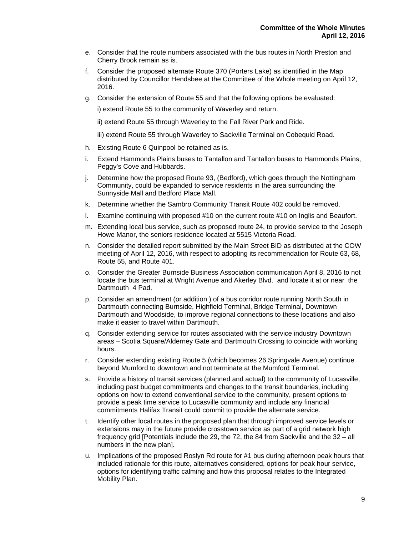- e. Consider that the route numbers associated with the bus routes in North Preston and Cherry Brook remain as is.
- f. Consider the proposed alternate Route 370 (Porters Lake) as identified in the Map distributed by Councillor Hendsbee at the Committee of the Whole meeting on April 12, 2016.
- g. Consider the extension of Route 55 and that the following options be evaluated:

i) extend Route 55 to the community of Waverley and return.

ii) extend Route 55 through Waverley to the Fall River Park and Ride.

iii) extend Route 55 through Waverley to Sackville Terminal on Cobequid Road.

- h. Existing Route 6 Quinpool be retained as is.
- i. Extend Hammonds Plains buses to Tantallon and Tantallon buses to Hammonds Plains, Peggy's Cove and Hubbards.
- j. Determine how the proposed Route 93, (Bedford), which goes through the Nottingham Community, could be expanded to service residents in the area surrounding the Sunnyside Mall and Bedford Place Mall.
- k. Determine whether the Sambro Community Transit Route 402 could be removed.
- l. Examine continuing with proposed #10 on the current route #10 on Inglis and Beaufort.
- m. Extending local bus service, such as proposed route 24, to provide service to the Joseph Howe Manor, the seniors residence located at 5515 Victoria Road.
- n. Consider the detailed report submitted by the Main Street BID as distributed at the COW meeting of April 12, 2016, with respect to adopting its recommendation for Route 63, 68, Route 55, and Route 401.
- o. Consider the Greater Burnside Business Association communication April 8, 2016 to not locate the bus terminal at Wright Avenue and Akerley Blvd. and locate it at or near the Dartmouth 4 Pad.
- p. Consider an amendment (or addition ) of a bus corridor route running North South in Dartmouth connecting Burnside, Highfield Terminal, Bridge Terminal, Downtown Dartmouth and Woodside, to improve regional connections to these locations and also make it easier to travel within Dartmouth.
- q. Consider extending service for routes associated with the service industry Downtown areas – Scotia Square/Alderney Gate and Dartmouth Crossing to coincide with working hours.
- r. Consider extending existing Route 5 (which becomes 26 Springvale Avenue) continue beyond Mumford to downtown and not terminate at the Mumford Terminal.
- s. Provide a history of transit services (planned and actual) to the community of Lucasville, including past budget commitments and changes to the transit boundaries, including options on how to extend conventional service to the community, present options to provide a peak time service to Lucasville community and include any financial commitments Halifax Transit could commit to provide the alternate service.
- t. Identify other local routes in the proposed plan that through improved service levels or extensions may in the future provide crosstown service as part of a grid network high frequency grid [Potentials include the 29, the 72, the 84 from Sackville and the 32 – all numbers in the new plan].
- u. Implications of the proposed Roslyn Rd route for #1 bus during afternoon peak hours that included rationale for this route, alternatives considered, options for peak hour service, options for identifying traffic calming and how this proposal relates to the Integrated Mobility Plan.